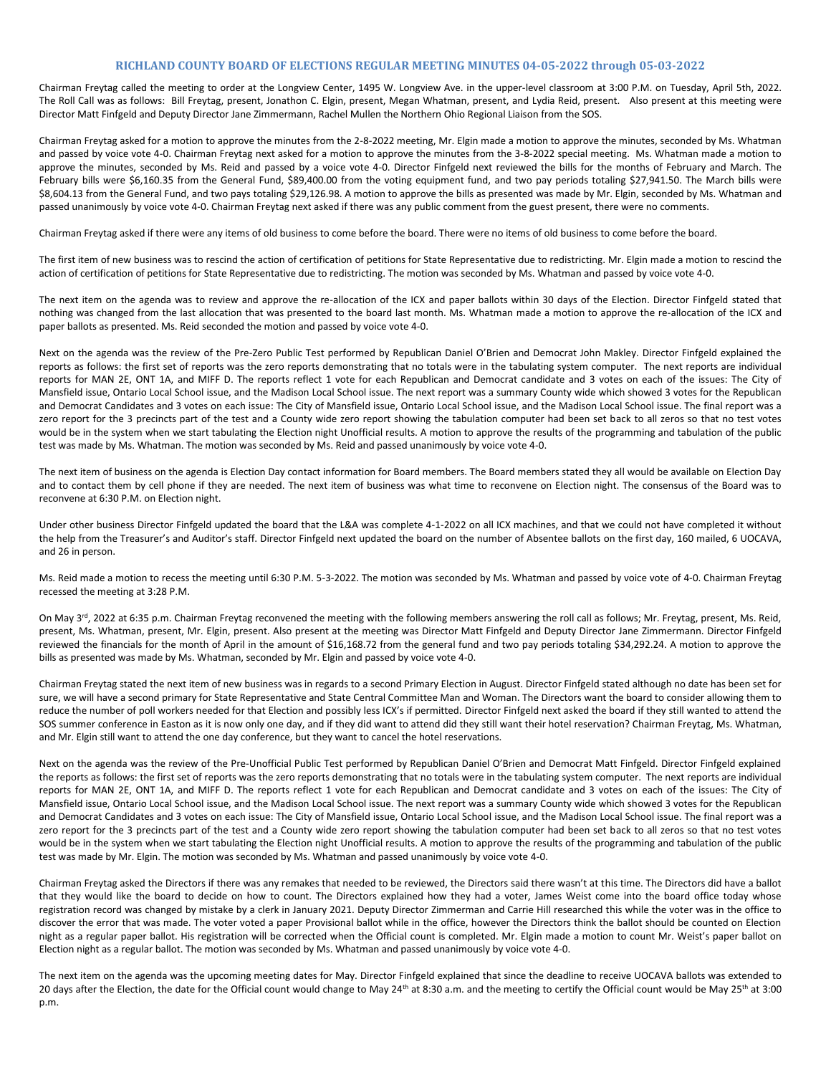## **RICHLAND COUNTY BOARD OF ELECTIONS REGULAR MEETING MINUTES 04-05-2022 through 05-03-2022**

Chairman Freytag called the meeting to order at the Longview Center, 1495 W. Longview Ave. in the upper-level classroom at 3:00 P.M. on Tuesday, April 5th, 2022. The Roll Call was as follows: Bill Freytag, present, Jonathon C. Elgin, present, Megan Whatman, present, and Lydia Reid, present. Also present at this meeting were Director Matt Finfgeld and Deputy Director Jane Zimmermann, Rachel Mullen the Northern Ohio Regional Liaison from the SOS.

Chairman Freytag asked for a motion to approve the minutes from the 2-8-2022 meeting, Mr. Elgin made a motion to approve the minutes, seconded by Ms. Whatman and passed by voice vote 4-0. Chairman Freytag next asked for a motion to approve the minutes from the 3-8-2022 special meeting. Ms. Whatman made a motion to approve the minutes, seconded by Ms. Reid and passed by a voice vote 4-0. Director Finfgeld next reviewed the bills for the months of February and March. The February bills were \$6,160.35 from the General Fund, \$89,400.00 from the voting equipment fund, and two pay periods totaling \$27,941.50. The March bills were \$8,604.13 from the General Fund, and two pays totaling \$29,126.98. A motion to approve the bills as presented was made by Mr. Elgin, seconded by Ms. Whatman and passed unanimously by voice vote 4-0. Chairman Freytag next asked if there was any public comment from the guest present, there were no comments.

Chairman Freytag asked if there were any items of old business to come before the board. There were no items of old business to come before the board.

The first item of new business was to rescind the action of certification of petitions for State Representative due to redistricting. Mr. Elgin made a motion to rescind the action of certification of petitions for State Representative due to redistricting. The motion was seconded by Ms. Whatman and passed by voice vote 4-0.

The next item on the agenda was to review and approve the re-allocation of the ICX and paper ballots within 30 days of the Election. Director Finfgeld stated that nothing was changed from the last allocation that was presented to the board last month. Ms. Whatman made a motion to approve the re-allocation of the ICX and paper ballots as presented. Ms. Reid seconded the motion and passed by voice vote 4-0.

Next on the agenda was the review of the Pre-Zero Public Test performed by Republican Daniel O'Brien and Democrat John Makley. Director Finfgeld explained the reports as follows: the first set of reports was the zero reports demonstrating that no totals were in the tabulating system computer. The next reports are individual reports for MAN 2E, ONT 1A, and MIFF D. The reports reflect 1 vote for each Republican and Democrat candidate and 3 votes on each of the issues: The City of Mansfield issue, Ontario Local School issue, and the Madison Local School issue. The next report was a summary County wide which showed 3 votes for the Republican and Democrat Candidates and 3 votes on each issue: The City of Mansfield issue, Ontario Local School issue, and the Madison Local School issue. The final report was a zero report for the 3 precincts part of the test and a County wide zero report showing the tabulation computer had been set back to all zeros so that no test votes would be in the system when we start tabulating the Election night Unofficial results. A motion to approve the results of the programming and tabulation of the public test was made by Ms. Whatman. The motion was seconded by Ms. Reid and passed unanimously by voice vote 4-0.

The next item of business on the agenda is Election Day contact information for Board members. The Board members stated they all would be available on Election Day and to contact them by cell phone if they are needed. The next item of business was what time to reconvene on Election night. The consensus of the Board was to reconvene at 6:30 P.M. on Election night.

Under other business Director Finfgeld updated the board that the L&A was complete 4-1-2022 on all ICX machines, and that we could not have completed it without the help from the Treasurer's and Auditor's staff. Director Finfgeld next updated the board on the number of Absentee ballots on the first day, 160 mailed, 6 UOCAVA, and 26 in person.

Ms. Reid made a motion to recess the meeting until 6:30 P.M. 5-3-2022. The motion was seconded by Ms. Whatman and passed by voice vote of 4-0. Chairman Freytag recessed the meeting at 3:28 P.M.

On May 3<sup>rd</sup>, 2022 at 6:35 p.m. Chairman Freytag reconvened the meeting with the following members answering the roll call as follows; Mr. Freytag, present, Ms. Reid, present, Ms. Whatman, present, Mr. Elgin, present. Also present at the meeting was Director Matt Finfgeld and Deputy Director Jane Zimmermann. Director Finfgeld reviewed the financials for the month of April in the amount of \$16,168.72 from the general fund and two pay periods totaling \$34,292.24. A motion to approve the bills as presented was made by Ms. Whatman, seconded by Mr. Elgin and passed by voice vote 4-0.

Chairman Freytag stated the next item of new business was in regards to a second Primary Election in August. Director Finfgeld stated although no date has been set for sure, we will have a second primary for State Representative and State Central Committee Man and Woman. The Directors want the board to consider allowing them to reduce the number of poll workers needed for that Election and possibly less ICX's if permitted. Director Finfgeld next asked the board if they still wanted to attend the SOS summer conference in Easton as it is now only one day, and if they did want to attend did they still want their hotel reservation? Chairman Freytag, Ms. Whatman, and Mr. Elgin still want to attend the one day conference, but they want to cancel the hotel reservations.

Next on the agenda was the review of the Pre-Unofficial Public Test performed by Republican Daniel O'Brien and Democrat Matt Finfgeld. Director Finfgeld explained the reports as follows: the first set of reports was the zero reports demonstrating that no totals were in the tabulating system computer. The next reports are individual reports for MAN 2E, ONT 1A, and MIFF D. The reports reflect 1 vote for each Republican and Democrat candidate and 3 votes on each of the issues: The City of Mansfield issue, Ontario Local School issue, and the Madison Local School issue. The next report was a summary County wide which showed 3 votes for the Republican and Democrat Candidates and 3 votes on each issue: The City of Mansfield issue, Ontario Local School issue, and the Madison Local School issue. The final report was a zero report for the 3 precincts part of the test and a County wide zero report showing the tabulation computer had been set back to all zeros so that no test votes would be in the system when we start tabulating the Election night Unofficial results. A motion to approve the results of the programming and tabulation of the public test was made by Mr. Elgin. The motion was seconded by Ms. Whatman and passed unanimously by voice vote 4-0.

Chairman Freytag asked the Directors if there was any remakes that needed to be reviewed, the Directors said there wasn't at this time. The Directors did have a ballot that they would like the board to decide on how to count. The Directors explained how they had a voter, James Weist come into the board office today whose registration record was changed by mistake by a clerk in January 2021. Deputy Director Zimmerman and Carrie Hill researched this while the voter was in the office to discover the error that was made. The voter voted a paper Provisional ballot while in the office, however the Directors think the ballot should be counted on Election night as a regular paper ballot. His registration will be corrected when the Official count is completed. Mr. Elgin made a motion to count Mr. Weist's paper ballot on Election night as a regular ballot. The motion was seconded by Ms. Whatman and passed unanimously by voice vote 4-0.

The next item on the agenda was the upcoming meeting dates for May. Director Finfgeld explained that since the deadline to receive UOCAVA ballots was extended to 20 days after the Election, the date for the Official count would change to May 24<sup>th</sup> at 8:30 a.m. and the meeting to certify the Official count would be May 25<sup>th</sup> at 3:00 p.m.